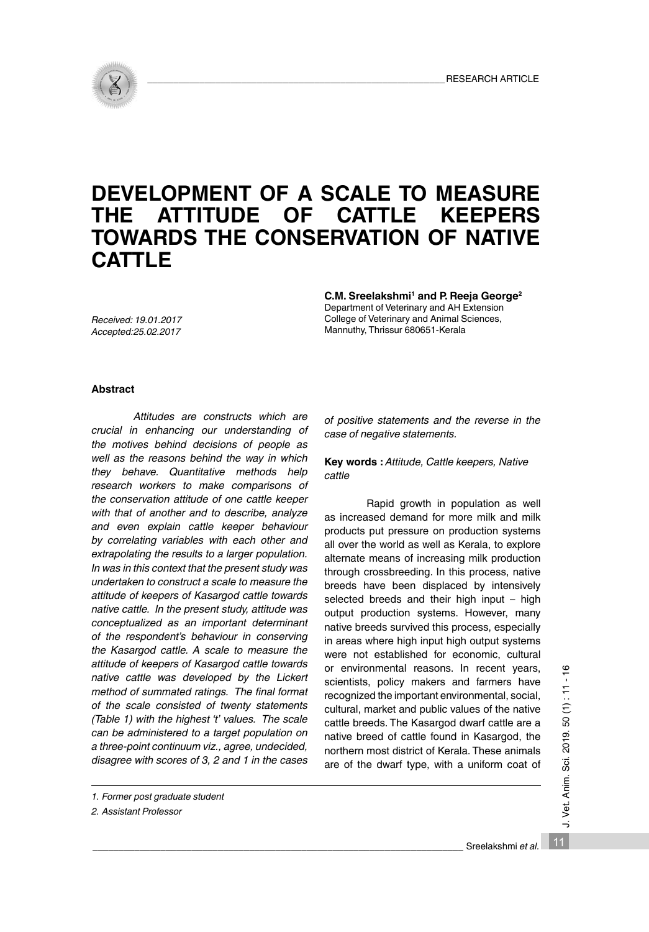

# **DEVELOPMENT OF A SCALE TO MEASURE THE ATTITUDE OF CATTLE KEEPERS TOWARDS THE CONSERVATION OF NATIVE CATTLE**

*Received: 19.01.2017 Accepted:25.02.2017*

C.M. Sreelakshmi<sup>1</sup> and P. Reeja George<sup>2</sup>

Department of Veterinary and AH Extension College of Veterinary and Animal Sciences, Mannuthy, Thrissur 680651-Kerala

## **Abstract**

*Attitudes are constructs which are crucial in enhancing our understanding of the motives behind decisions of people as well as the reasons behind the way in which they behave. Quantitative methods help research workers to make comparisons of the conservation attitude of one cattle keeper with that of another and to describe, analyze and even explain cattle keeper behaviour by correlating variables with each other and extrapolating the results to a larger population. In was in this context that the present study was undertaken to construct a scale to measure the attitude of keepers of Kasargod cattle towards native cattle. In the present study, attitude was conceptualized as an important determinant of the respondent's behaviour in conserving the Kasargod cattle. A scale to measure the attitude of keepers of Kasargod cattle towards native cattle was developed by the Lickert method of summated ratings. The final format of the scale consisted of twenty statements (Table 1) with the highest 't' values. The scale can be administered to a target population on a three-point continuum viz., agree, undecided, disagree with scores of 3, 2 and 1 in the cases* 

*of positive statements and the reverse in the case of negative statements.* 

**Key words :** *Attitude, Cattle keepers, Native cattle*

Rapid growth in population as well as increased demand for more milk and milk products put pressure on production systems all over the world as well as Kerala, to explore alternate means of increasing milk production through crossbreeding. In this process, native breeds have been displaced by intensively selected breeds and their high input – high output production systems. However, many native breeds survived this process, especially in areas where high input high output systems were not established for economic, cultural or environmental reasons. In recent years, scientists, policy makers and farmers have recognized the important environmental, social, cultural, market and public values of the native cattle breeds. The Kasargod dwarf cattle are a native breed of cattle found in Kasargod, the northern most district of Kerala. These animals are of the dwarf type, with a uniform coat of

J. Vet. Anim. Sci. 2019. 50 (1): 11 - 16 1<br>12 J. Vet. Anim. Sci. 2019. 50 (1) : 11 - 16

*<sup>1.</sup> Former post graduate student*

*<sup>2.</sup> Assistant Professor*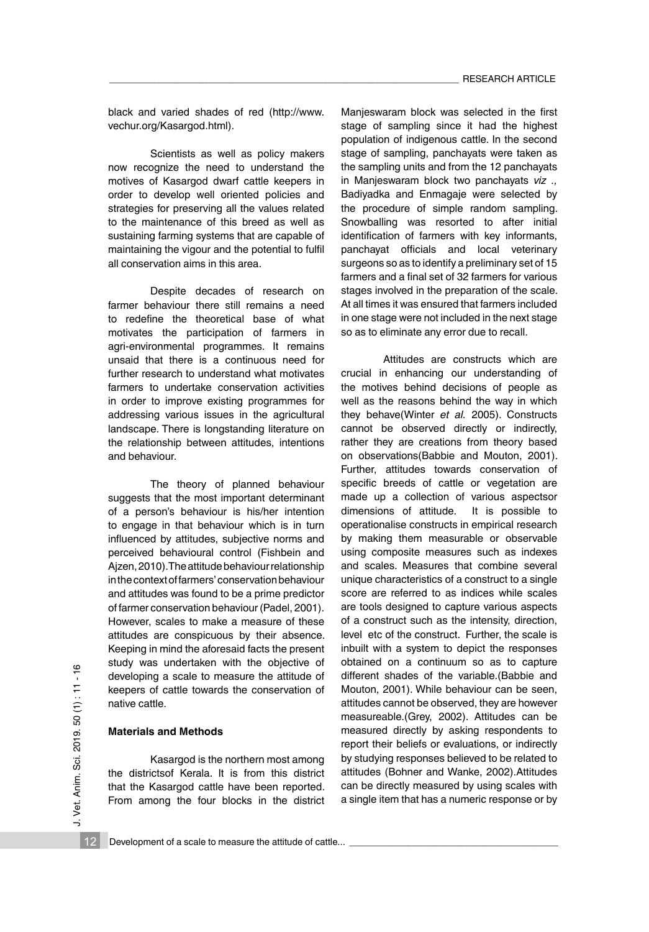black and varied shades of red (http://www. vechur.org/Kasargod.html).

Scientists as well as policy makers now recognize the need to understand the motives of Kasargod dwarf cattle keepers in order to develop well oriented policies and strategies for preserving all the values related to the maintenance of this breed as well as sustaining farming systems that are capable of maintaining the vigour and the potential to fulfil all conservation aims in this area.

Despite decades of research on farmer behaviour there still remains a need to redefine the theoretical base of what motivates the participation of farmers in agri-environmental programmes. It remains unsaid that there is a continuous need for further research to understand what motivates farmers to undertake conservation activities in order to improve existing programmes for addressing various issues in the agricultural landscape. There is longstanding literature on the relationship between attitudes, intentions and behaviour.

The theory of planned behaviour suggests that the most important determinant of a person's behaviour is his/her intention to engage in that behaviour which is in turn influenced by attitudes, subjective norms and perceived behavioural control (Fishbein and Aizen, 2010). The attitude behaviour relationship in the context of farmers' conservation behaviour and attitudes was found to be a prime predictor of farmer conservation behaviour (Padel, 2001). However, scales to make a measure of these attitudes are conspicuous by their absence. Keeping in mind the aforesaid facts the present study was undertaken with the objective of developing a scale to measure the attitude of keepers of cattle towards the conservation of native cattle.

#### **Materials and Methods**

Kasargod is the northern most among the districtsof Kerala. It is from this district that the Kasargod cattle have been reported. From among the four blocks in the district Manjeswaram block was selected in the first stage of sampling since it had the highest population of indigenous cattle. In the second stage of sampling, panchayats were taken as the sampling units and from the 12 panchayats in Manjeswaram block two panchayats *viz .,* Badiyadka and Enmagaje were selected by the procedure of simple random sampling. Snowballing was resorted to after initial identification of farmers with key informants, panchayat officials and local veterinary surgeons so as to identify a preliminary set of 15 farmers and a final set of 32 farmers for various stages involved in the preparation of the scale. At all times it was ensured that farmers included in one stage were not included in the next stage so as to eliminate any error due to recall.

Attitudes are constructs which are crucial in enhancing our understanding of the motives behind decisions of people as well as the reasons behind the way in which they behave(Winter *et al.* 2005). Constructs cannot be observed directly or indirectly, rather they are creations from theory based on observations(Babbie and Mouton, 2001). Further, attitudes towards conservation of specific breeds of cattle or vegetation are made up a collection of various aspectsor dimensions of attitude. It is possible to operationalise constructs in empirical research by making them measurable or observable using composite measures such as indexes and scales. Measures that combine several unique characteristics of a construct to a single score are referred to as indices while scales are tools designed to capture various aspects of a construct such as the intensity, direction, level etc of the construct. Further, the scale is inbuilt with a system to depict the responses obtained on a continuum so as to capture different shades of the variable.(Babbie and Mouton, 2001). While behaviour can be seen, attitudes cannot be observed, they are however measureable.(Grey, 2002). Attitudes can be measured directly by asking respondents to report their beliefs or evaluations, or indirectly by studying responses believed to be related to attitudes (Bohner and Wanke, 2002).Attitudes can be directly measured by using scales with a single item that has a numeric response or by

12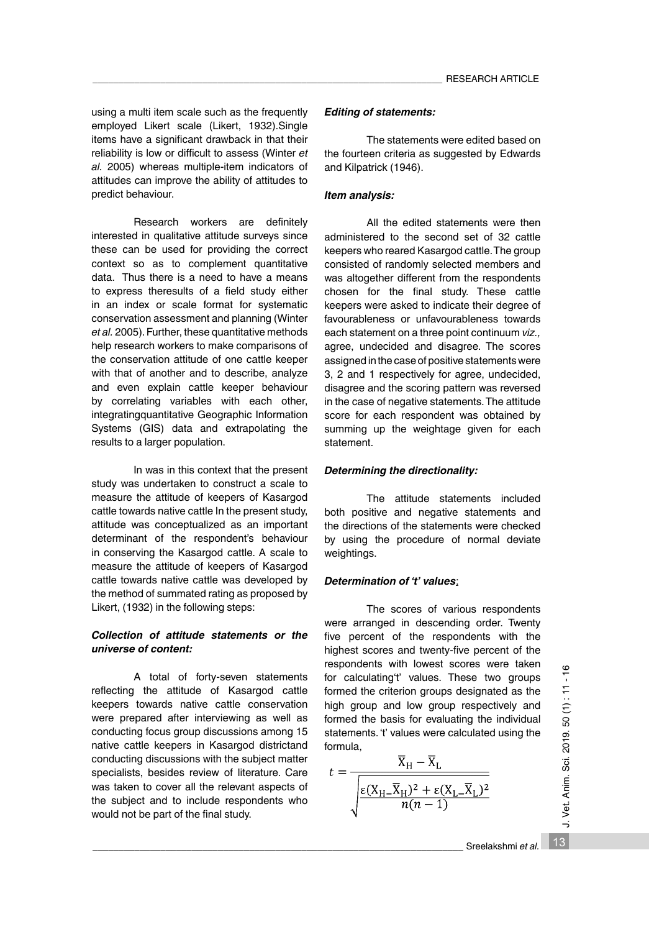using a multi item scale such as the frequently employed Likert scale (Likert, 1932).Single items have a significant drawback in that their reliability is low or difficult to assess (Winter *et al.* 2005) whereas multiple-item indicators of attitudes can improve the ability of attitudes to predict behaviour.

Research workers are definitely interested in qualitative attitude surveys since these can be used for providing the correct context so as to complement quantitative data. Thus there is a need to have a means to express theresults of a field study either in an index or scale format for systematic conservation assessment and planning (Winter *et al.* 2005). Further, these quantitative methods help research workers to make comparisons of the conservation attitude of one cattle keeper with that of another and to describe, analyze and even explain cattle keeper behaviour by correlating variables with each other, integratingquantitative Geographic Information Systems (GIS) data and extrapolating the results to a larger population.

In was in this context that the present study was undertaken to construct a scale to measure the attitude of keepers of Kasargod cattle towards native cattle In the present study, attitude was conceptualized as an important determinant of the respondent's behaviour in conserving the Kasargod cattle. A scale to measure the attitude of keepers of Kasargod cattle towards native cattle was developed by the method of summated rating as proposed by Likert, (1932) in the following steps:

# *Collection of attitude statements or the universe of content:*

A total of forty-seven statements reflecting the attitude of Kasargod cattle keepers towards native cattle conservation were prepared after interviewing as well as conducting focus group discussions among 15 native cattle keepers in Kasargod districtand conducting discussions with the subject matter specialists, besides review of literature. Care was taken to cover all the relevant aspects of the subject and to include respondents who would not be part of the final study.

## *Editing of statements:*

The statements were edited based on the fourteen criteria as suggested by Edwards and Kilpatrick (1946).

#### *Item analysis:*

All the edited statements were then administered to the second set of 32 cattle keepers who reared Kasargod cattle. The group consisted of randomly selected members and was altogether different from the respondents chosen for the final study. These cattle keepers were asked to indicate their degree of favourableness or unfavourableness towards each statement on a three point continuum *viz.,* agree, undecided and disagree. The scores assigned in the case of positive statements were 3, 2 and 1 respectively for agree, undecided, disagree and the scoring pattern was reversed in the case of negative statements. The attitude score for each respondent was obtained by summing up the weightage given for each statement.

## *Determining the directionality:*

The attitude statements included both positive and negative statements and the directions of the statements were checked by using the procedure of normal deviate weightings.

#### *Determination of 't' values*:

The scores of various respondents were arranged in descending order. Twenty five percent of the respondents with the highest scores and twenty-five percent of the respondents with lowest scores were taken for calculating't' values. These two groups formed the criterion groups designated as the high group and low group respectively and formed the basis for evaluating the individual statements. 't' values were calculated using the formula,

$$
t = \frac{\overline{X}_{H} - \overline{X}_{L}}{\sqrt{\frac{\varepsilon (X_{H} - \overline{X}_{H})^{2} + \varepsilon (X_{L} - \overline{X}_{L})^{2}}{n(n-1)}}}
$$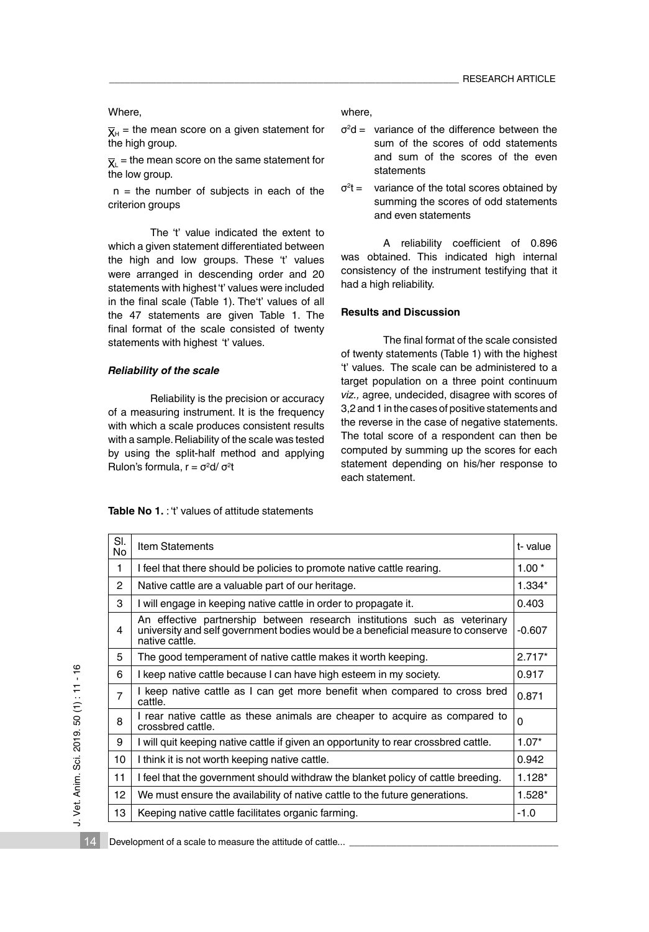Where,

 $\overline{X}_{H}$  = the mean score on a given statement for the high group.

AL The mean.<br>the low group.  $\bar{x}$  = the mean score on the same statement for

 $n =$  the number of subjects in each of the criterion groups

The 't' value indicated the extent to which a given statement differentiated between the high and low groups. These 't' values were arranged in descending order and 20 statements with highest 't' values were included in the final scale (Table 1). The't' values of all the 47 statements are given Table 1. The final format of the scale consisted of twenty statements with highest 't' values.

## *Reliability of the scale*

Reliability is the precision or accuracy of a measuring instrument. It is the frequency with which a scale produces consistent results with a sample. Reliability of the scale was tested by using the split-half method and applying Rulon's formula, r = σ<sup>2</sup>d/ σ<sup>2</sup>t

# **Table No 1.** : 't' values of attitude statements

where,

- $\sigma^2$ d = variance of the difference between the sum of the scores of odd statements and sum of the scores of the even statements
- $\sigma^2 t =$ variance of the total scores obtained by summing the scores of odd statements and even statements

A reliability coefficient of 0.896 was obtained. This indicated high internal consistency of the instrument testifying that it had a high reliability.

## **Results and Discussion**

The final format of the scale consisted of twenty statements (Table 1) with the highest 't' values. The scale can be administered to a target population on a three point continuum *viz.,* agree, undecided, disagree with scores of 3,2 and 1 in the cases of positive statements and the reverse in the case of negative statements. The total score of a respondent can then be computed by summing up the scores for each statement depending on his/her response to each statement.

| SI.<br>No | <b>Item Statements</b>                                                                                                                                                         | t-value  |
|-----------|--------------------------------------------------------------------------------------------------------------------------------------------------------------------------------|----------|
| 1         | I feel that there should be policies to promote native cattle rearing.                                                                                                         | $1.00*$  |
| 2         | Native cattle are a valuable part of our heritage.                                                                                                                             | 1.334*   |
| 3         | I will engage in keeping native cattle in order to propagate it.                                                                                                               | 0.403    |
| 4         | An effective partnership between research institutions such as veterinary<br>university and self government bodies would be a beneficial measure to conserve<br>native cattle. | $-0.607$ |
| 5         | The good temperament of native cattle makes it worth keeping.                                                                                                                  | $2.717*$ |
| 6         | I keep native cattle because I can have high esteem in my society.                                                                                                             | 0.917    |
| 7         | I keep native cattle as I can get more benefit when compared to cross bred<br>cattle.                                                                                          | 0.871    |
| 8         | I rear native cattle as these animals are cheaper to acquire as compared to<br>crossbred cattle.                                                                               | 0        |
| 9         | I will quit keeping native cattle if given an opportunity to rear crossbred cattle.                                                                                            | $1.07*$  |
| 10        | I think it is not worth keeping native cattle.                                                                                                                                 | 0.942    |
| 11        | I feel that the government should withdraw the blanket policy of cattle breeding.                                                                                              | $1.128*$ |
| 12        | We must ensure the availability of native cattle to the future generations.                                                                                                    | $1.528*$ |
| 13        | Keeping native cattle facilitates organic farming.                                                                                                                             | $-1.0$   |

J. Vet. Anim. Sci. 2019. 50 (1): 11 - 16 J. Vet. Anim. Sci. 2019. 50 (1) : 11 - 16

14

Development of a scale to measure the attitude of cattle...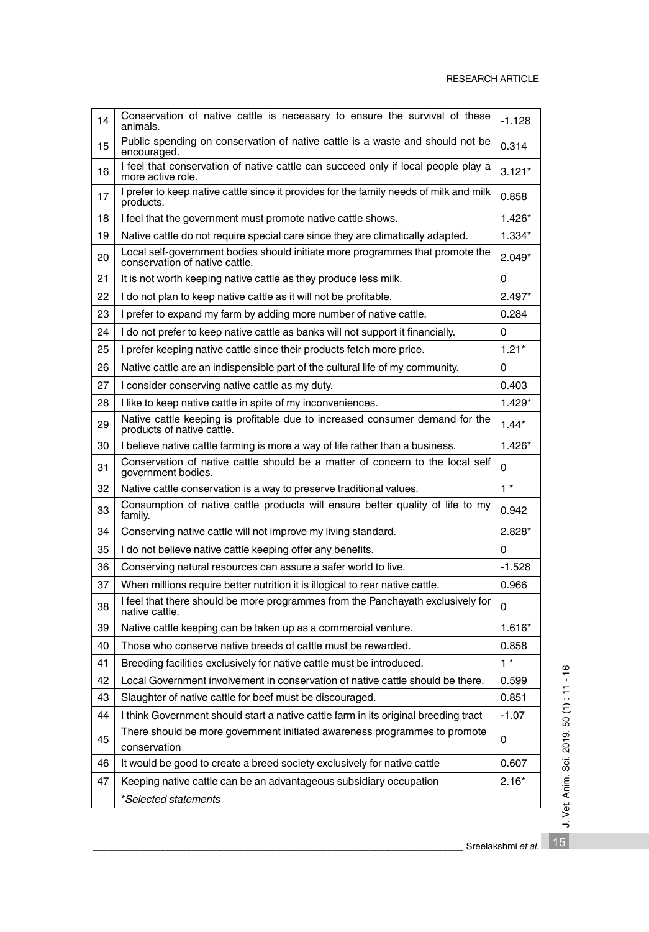| 14 | Conservation of native cattle is necessary to ensure the survival of these<br>animals.                          | $-1.128$ |
|----|-----------------------------------------------------------------------------------------------------------------|----------|
| 15 | Public spending on conservation of native cattle is a waste and should not be<br>encouraged.                    | 0.314    |
| 16 | I feel that conservation of native cattle can succeed only if local people play a<br>more active role.          | $3.121*$ |
| 17 | I prefer to keep native cattle since it provides for the family needs of milk and milk<br>products.             | 0.858    |
| 18 | I feel that the government must promote native cattle shows.                                                    | 1.426*   |
| 19 | Native cattle do not require special care since they are climatically adapted.                                  | 1.334*   |
| 20 | Local self-government bodies should initiate more programmes that promote the<br>conservation of native cattle. | $2.049*$ |
| 21 | It is not worth keeping native cattle as they produce less milk.                                                | 0        |
| 22 | I do not plan to keep native cattle as it will not be profitable.                                               | $2.497*$ |
| 23 | I prefer to expand my farm by adding more number of native cattle.                                              | 0.284    |
| 24 | I do not prefer to keep native cattle as banks will not support it financially.                                 | 0        |
| 25 | I prefer keeping native cattle since their products fetch more price.                                           | $1.21*$  |
| 26 | Native cattle are an indispensible part of the cultural life of my community.                                   | 0        |
| 27 | I consider conserving native cattle as my duty.                                                                 | 0.403    |
| 28 | I like to keep native cattle in spite of my inconveniences.                                                     | $1.429*$ |
| 29 | Native cattle keeping is profitable due to increased consumer demand for the<br>products of native cattle.      | $1.44*$  |
| 30 | I believe native cattle farming is more a way of life rather than a business.                                   | $1.426*$ |
| 31 | Conservation of native cattle should be a matter of concern to the local self<br>government bodies.             | 0        |
| 32 | Native cattle conservation is a way to preserve traditional values.                                             | $1*$     |
| 33 | Consumption of native cattle products will ensure better quality of life to my<br>family.                       | 0.942    |
| 34 | Conserving native cattle will not improve my living standard.                                                   | $2.828*$ |
| 35 | I do not believe native cattle keeping offer any benefits.                                                      | 0        |
| 36 | Conserving natural resources can assure a safer world to live.                                                  | $-1.528$ |
| 37 | When millions require better nutrition it is illogical to rear native cattle.                                   | 0.966    |
| 38 | I feel that there should be more programmes from the Panchayath exclusively for<br>native cattle.               | 0        |
| 39 | Native cattle keeping can be taken up as a commercial venture.                                                  | 1.616*   |
| 40 | Those who conserve native breeds of cattle must be rewarded.                                                    | 0.858    |
| 41 | Breeding facilities exclusively for native cattle must be introduced.                                           | $1 *$    |
| 42 | Local Government involvement in conservation of native cattle should be there.                                  | 0.599    |
| 43 | Slaughter of native cattle for beef must be discouraged.                                                        | 0.851    |
| 44 | I think Government should start a native cattle farm in its original breeding tract                             | $-1.07$  |
| 45 | There should be more government initiated awareness programmes to promote<br>conservation                       | 0        |
| 46 | It would be good to create a breed society exclusively for native cattle                                        | 0.607    |
| 47 | Keeping native cattle can be an advantageous subsidiary occupation                                              | $2.16*$  |
|    | *Selected statements                                                                                            |          |
|    |                                                                                                                 |          |